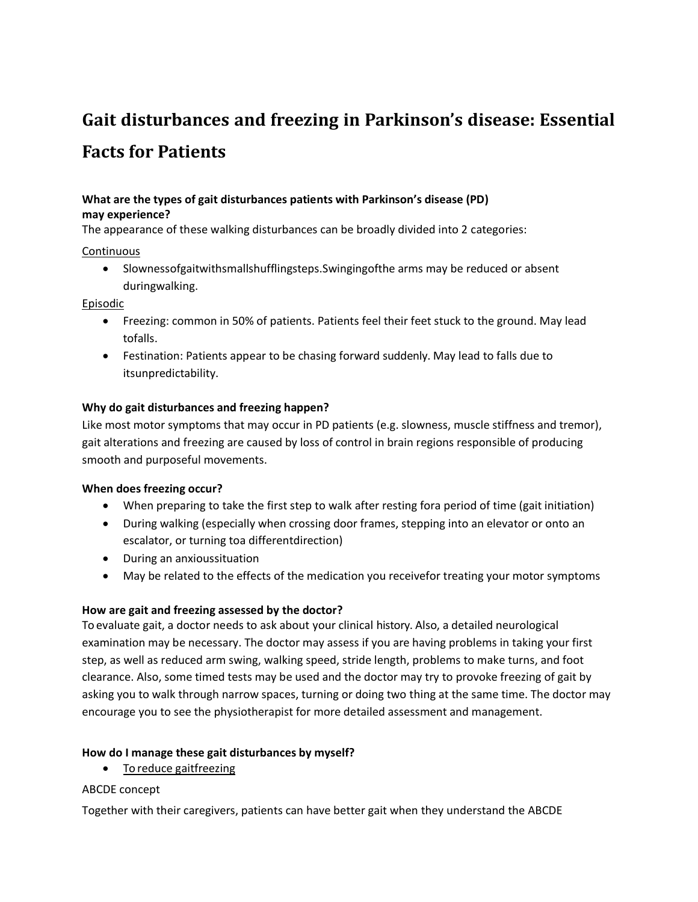# **Gait disturbances and freezing in Parkinson's disease: Essential Facts for Patients**

### **What are the types of gait disturbances patients with Parkinson's disease (PD) may experience?**

The appearance of these walking disturbances can be broadly divided into 2 categories:

#### **Continuous**

 Slownessofgaitwithsmallshufflingsteps.Swingingofthe arms may be reduced or absent duringwalking.

### Episodic

- Freezing: common in 50% of patients. Patients feel their feet stuck to the ground. May lead tofalls.
- Festination: Patients appear to be chasing forward suddenly. May lead to falls due to itsunpredictability.

### **Why do gait disturbances and freezing happen?**

Like most motor symptoms that may occur in PD patients (e.g. slowness, muscle stiffness and tremor), gait alterations and freezing are caused by loss of control in brain regions responsible of producing smooth and purposeful movements.

### **When does freezing occur?**

- When preparing to take the first step to walk after resting fora period of time (gait initiation)
- During walking (especially when crossing door frames, stepping into an elevator or onto an escalator, or turning toa differentdirection)
- During an anxioussituation
- May be related to the effects of the medication you receivefor treating your motor symptoms

### **How are gait and freezing assessed by the doctor?**

To evaluate gait, a doctor needs to ask about your clinical history. Also, a detailed neurological examination may be necessary. The doctor may assess if you are having problems in taking your first step, as well as reduced arm swing, walking speed, stride length, problems to make turns, and foot clearance. Also, some timed tests may be used and the doctor may try to provoke freezing of gait by asking you to walk through narrow spaces, turning or doing two thing at the same time. The doctor may encourage you to see the physiotherapist for more detailed assessment and management.

## **How do I manage these gait disturbances by myself?**

• To reduce gaitfreezing

### ABCDE concept

Together with their caregivers, patients can have better gait when they understand the ABCDE